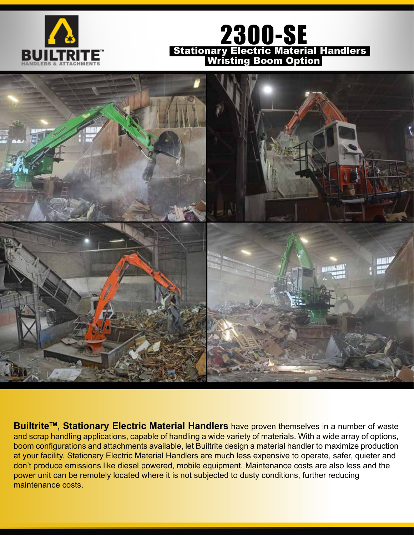

## 2300-SE Stationary Electric Material Handlers Wristing Boom Option



**Builtrite<sup>™</sup>, Stationary Electric Material Handlers** have proven themselves in a number of waste and scrap handling applications, capable of handling a wide variety of materials. With a wide array of options, boom configurations and attachments available, let Builtrite design a material handler to maximize production at your facility. Stationary Electric Material Handlers are much less expensive to operate, safer, quieter and don't produce emissions like diesel powered, mobile equipment. Maintenance costs are also less and the power unit can be remotely located where it is not subjected to dusty conditions, further reducing maintenance costs.